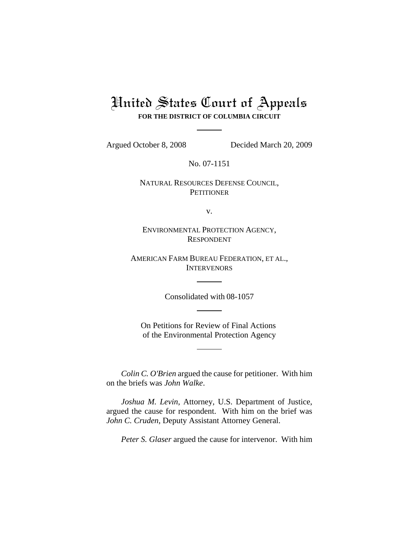# United States Court of Appeals **FOR THE DISTRICT OF COLUMBIA CIRCUIT**

Argued October 8, 2008 Decided March 20, 2009

No. 07-1151

## NATURAL RESOURCES DEFENSE COUNCIL, **PETITIONER**

v.

ENVIRONMENTAL PROTECTION AGENCY, RESPONDENT

AMERICAN FARM BUREAU FEDERATION, ET AL., **INTERVENORS** 

Consolidated with 08-1057

On Petitions for Review of Final Actions of the Environmental Protection Agency

*Colin C. O'Brien* argued the cause for petitioner. With him on the briefs was *John Walke*.

*Joshua M. Levin*, Attorney, U.S. Department of Justice, argued the cause for respondent. With him on the brief was *John C. Cruden*, Deputy Assistant Attorney General.

*Peter S. Glaser* argued the cause for intervenor. With him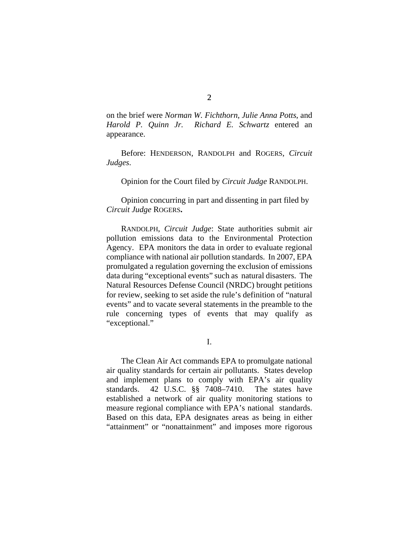on the brief were *Norman W. Fichthorn*, *Julie Anna Potts*, and *Harold P. Quinn Jr. Richard E. Schwartz* entered an appearance.

Before: HENDERSON, RANDOLPH and ROGERS, *Circuit Judges*.

Opinion for the Court filed by *Circuit Judge* RANDOLPH.

Opinion concurring in part and dissenting in part filed by *Circuit Judge* ROGERS**.**

RANDOLPH, *Circuit Judge*: State authorities submit air pollution emissions data to the Environmental Protection Agency. EPA monitors the data in order to evaluate regional compliance with national air pollution standards. In 2007, EPA promulgated a regulation governing the exclusion of emissions data during "exceptional events" such as natural disasters. The Natural Resources Defense Council (NRDC) brought petitions for review, seeking to set aside the rule's definition of "natural events" and to vacate several statements in the preamble to the rule concerning types of events that may qualify as "exceptional."

I.

The Clean Air Act commands EPA to promulgate national air quality standards for certain air pollutants. States develop and implement plans to comply with EPA's air quality standards. 42 U.S.C. §§ 7408–7410. The states have established a network of air quality monitoring stations to measure regional compliance with EPA's national standards. Based on this data, EPA designates areas as being in either "attainment" or "nonattainment" and imposes more rigorous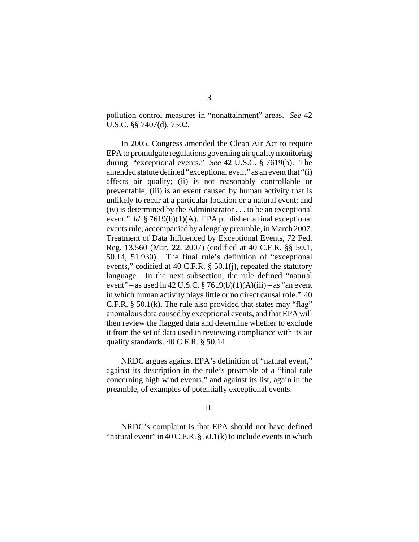pollution control measures in "nonattainment" areas. *See* 42 U.S.C. §§ 7407(d), 7502.

In 2005, Congress amended the Clean Air Act to require EPA to promulgate regulations governing air quality monitoring during "exceptional events." *See* 42 U.S.C. § 7619(b). The amended statute defined "exceptional event" as an event that "(i) affects air quality; (ii) is not reasonably controllable or preventable; (iii) is an event caused by human activity that is unlikely to recur at a particular location or a natural event; and (iv) is determined by the Administrator . . . to be an exceptional event." *Id.* § 7619(b)(1)(A). EPA published a final exceptional events rule, accompanied by a lengthy preamble, in March 2007. Treatment of Data Influenced by Exceptional Events, 72 Fed. Reg. 13,560 (Mar. 22, 2007) (codified at 40 C.F.R. §§ 50.1, 50.14, 51.930). The final rule's definition of "exceptional events," codified at 40 C.F.R. § 50.1(j), repeated the statutory language. In the next subsection, the rule defined "natural event" – as used in 42 U.S.C.  $\frac{87619(b)(1)(A)(iii)}{2}$  – as "an event in which human activity plays little or no direct causal role." 40 C.F.R.  $\S$  50.1(k). The rule also provided that states may "flag" anomalous data caused by exceptional events, and that EPA will then review the flagged data and determine whether to exclude it from the set of data used in reviewing compliance with its air quality standards. 40 C.F.R. § 50.14.

NRDC argues against EPA's definition of "natural event," against its description in the rule's preamble of a "final rule concerning high wind events," and against its list, again in the preamble, of examples of potentially exceptional events.

#### II.

NRDC's complaint is that EPA should not have defined "natural event" in  $40$  C.F.R. § 50.1(k) to include events in which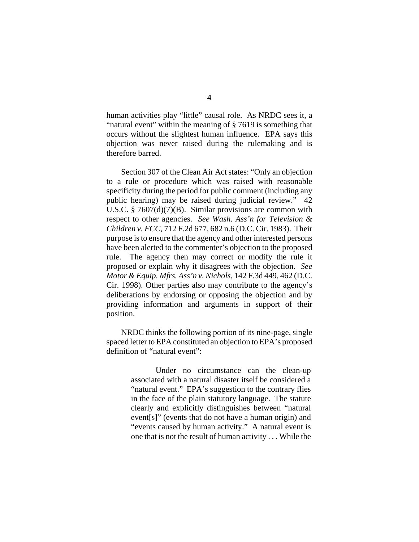human activities play "little" causal role. As NRDC sees it, a "natural event" within the meaning of § 7619 is something that occurs without the slightest human influence. EPA says this objection was never raised during the rulemaking and is therefore barred.

Section 307 of the Clean Air Act states: "Only an objection to a rule or procedure which was raised with reasonable specificity during the period for public comment (including any public hearing) may be raised during judicial review." 42 U.S.C. § 7607(d)(7)(B). Similar provisions are common with respect to other agencies. *See Wash. Ass'n for Television & Children v. FCC*, 712 F.2d 677, 682 n.6 (D.C. Cir. 1983). Their purpose is to ensure that the agency and other interested persons have been alerted to the commenter's objection to the proposed rule. The agency then may correct or modify the rule it proposed or explain why it disagrees with the objection. *See Motor & Equip. Mfrs. Ass'n v. Nichols*, 142 F.3d 449, 462 (D.C. Cir. 1998). Other parties also may contribute to the agency's deliberations by endorsing or opposing the objection and by providing information and arguments in support of their position.

NRDC thinks the following portion of its nine-page, single spaced letter to EPA constituted an objection to EPA's proposed definition of "natural event":

> Under no circumstance can the clean-up associated with a natural disaster itself be considered a "natural event." EPA's suggestion to the contrary flies in the face of the plain statutory language. The statute clearly and explicitly distinguishes between "natural event[s]" (events that do not have a human origin) and "events caused by human activity." A natural event is one that is not the result of human activity . . . While the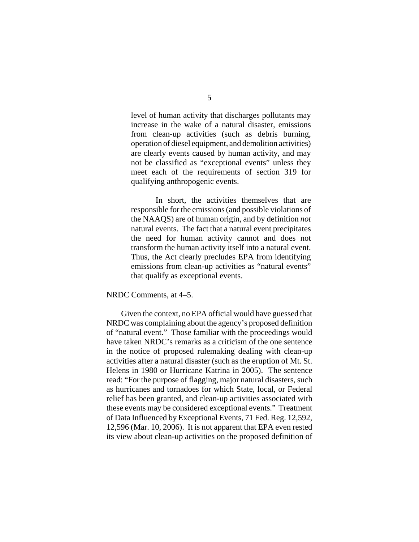level of human activity that discharges pollutants may increase in the wake of a natural disaster, emissions from clean-up activities (such as debris burning, operation of diesel equipment, and demolition activities) are clearly events caused by human activity, and may not be classified as "exceptional events" unless they meet each of the requirements of section 319 for qualifying anthropogenic events.

In short, the activities themselves that are responsible for the emissions (and possible violations of the NAAQS) are of human origin, and by definition *not* natural events. The fact that a natural event precipitates the need for human activity cannot and does not transform the human activity itself into a natural event. Thus, the Act clearly precludes EPA from identifying emissions from clean-up activities as "natural events" that qualify as exceptional events.

NRDC Comments, at 4–5.

Given the context, no EPA official would have guessed that NRDC was complaining about the agency's proposed definition of "natural event." Those familiar with the proceedings would have taken NRDC's remarks as a criticism of the one sentence in the notice of proposed rulemaking dealing with clean-up activities after a natural disaster (such as the eruption of Mt. St. Helens in 1980 or Hurricane Katrina in 2005). The sentence read: "For the purpose of flagging, major natural disasters, such as hurricanes and tornadoes for which State, local, or Federal relief has been granted, and clean-up activities associated with these events may be considered exceptional events." Treatment of Data Influenced by Exceptional Events, 71 Fed. Reg. 12,592, 12,596 (Mar. 10, 2006). It is not apparent that EPA even rested its view about clean-up activities on the proposed definition of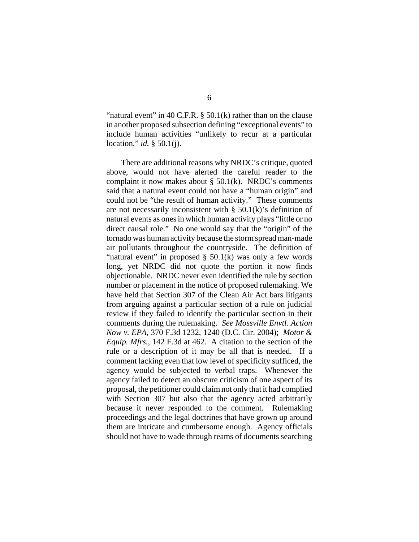"natural event" in 40 C.F.R.  $\S$  50.1(k) rather than on the clause in another proposed subsection defining "exceptional events" to include human activities "unlikely to recur at a particular location," *id.* § 50.1(j).

There are additional reasons why NRDC's critique, quoted above, would not have alerted the careful reader to the complaint it now makes about  $\S$  50.1(k). NRDC's comments said that a natural event could not have a "human origin" and could not be "the result of human activity." These comments are not necessarily inconsistent with  $\S$  50.1(k)'s definition of natural events as ones in which human activity plays "little or no direct causal role." No one would say that the "origin" of the tornado was human activity because the storm spread man-made air pollutants throughout the countryside. The definition of "natural event" in proposed  $\S$  50.1(k) was only a few words long, yet NRDC did not quote the portion it now finds objectionable. NRDC never even identified the rule by section number or placement in the notice of proposed rulemaking. We have held that Section 307 of the Clean Air Act bars litigants from arguing against a particular section of a rule on judicial review if they failed to identify the particular section in their comments during the rulemaking. *See Mossville Envtl. Action Now v. EPA*, 370 F.3d 1232, 1240 (D.C. Cir. 2004); *Motor & Equip. Mfrs.*, 142 F.3d at 462. A citation to the section of the rule or a description of it may be all that is needed. If a comment lacking even that low level of specificity sufficed, the agency would be subjected to verbal traps. Whenever the agency failed to detect an obscure criticism of one aspect of its proposal, the petitioner could claim not only that it had complied with Section 307 but also that the agency acted arbitrarily because it never responded to the comment. Rulemaking proceedings and the legal doctrines that have grown up around them are intricate and cumbersome enough. Agency officials should not have to wade through reams of documents searching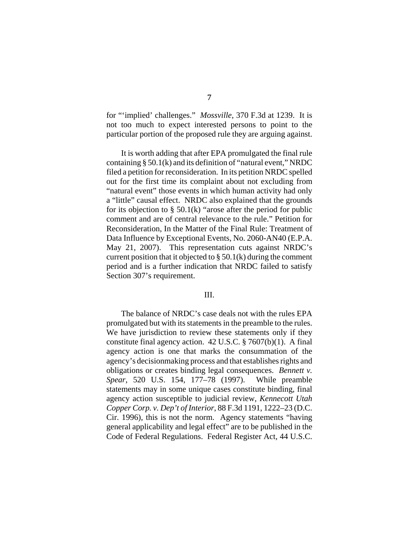for "'implied' challenges." *Mossville*, 370 F.3d at 1239. It is not too much to expect interested persons to point to the particular portion of the proposed rule they are arguing against.

It is worth adding that after EPA promulgated the final rule containing § 50.1(k) and its definition of "natural event," NRDC filed a petition for reconsideration. In its petition NRDC spelled out for the first time its complaint about not excluding from "natural event" those events in which human activity had only a "little" causal effect. NRDC also explained that the grounds for its objection to  $\S$  50.1(k) "arose after the period for public comment and are of central relevance to the rule." Petition for Reconsideration, In the Matter of the Final Rule: Treatment of Data Influence by Exceptional Events, No. 2060-AN40 (E.P.A. May 21, 2007). This representation cuts against NRDC's current position that it objected to  $\S 50.1(k)$  during the comment period and is a further indication that NRDC failed to satisfy Section 307's requirement.

### III.

The balance of NRDC's case deals not with the rules EPA promulgated but with its statements in the preamble to the rules. We have jurisdiction to review these statements only if they constitute final agency action. 42 U.S.C. § 7607(b)(1). A final agency action is one that marks the consummation of the agency's decisionmaking process and that establishes rights and obligations or creates binding legal consequences. *Bennett v. Spear*, 520 U.S. 154, 177–78 (1997). While preamble statements may in some unique cases constitute binding, final agency action susceptible to judicial review, *Kennecott Utah Copper Corp. v. Dep't of Interior*, 88 F.3d 1191, 1222–23 (D.C. Cir. 1996), this is not the norm. Agency statements "having general applicability and legal effect" are to be published in the Code of Federal Regulations. Federal Register Act, 44 U.S.C.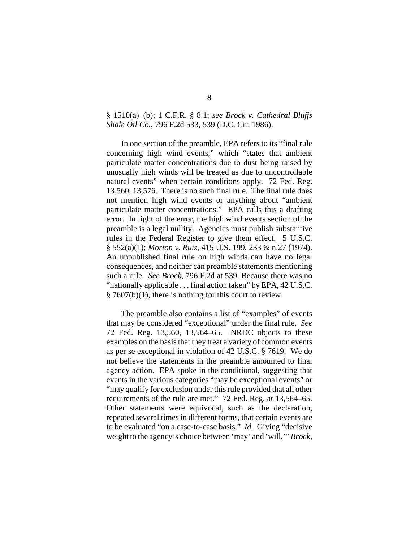## § 1510(a)–(b); 1 C.F.R. § 8.1; *see Brock v. Cathedral Bluffs Shale Oil Co.*, 796 F.2d 533, 539 (D.C. Cir. 1986).

In one section of the preamble, EPA refers to its "final rule concerning high wind events," which "states that ambient particulate matter concentrations due to dust being raised by unusually high winds will be treated as due to uncontrollable natural events" when certain conditions apply. 72 Fed. Reg. 13,560, 13,576. There is no such final rule. The final rule does not mention high wind events or anything about "ambient particulate matter concentrations." EPA calls this a drafting error. In light of the error, the high wind events section of the preamble is a legal nullity. Agencies must publish substantive rules in the Federal Register to give them effect. 5 U.S.C. § 552(a)(1); *Morton v. Ruiz*, 415 U.S. 199, 233 & n.27 (1974). An unpublished final rule on high winds can have no legal consequences, and neither can preamble statements mentioning such a rule. *See Brock*, 796 F.2d at 539. Because there was no "nationally applicable . . . final action taken" by EPA, 42 U.S.C.  $§ 7607(b)(1)$ , there is nothing for this court to review.

The preamble also contains a list of "examples" of events that may be considered "exceptional" under the final rule. *See* 72 Fed. Reg. 13,560, 13,564–65. NRDC objects to these examples on the basis that they treat a variety of common events as per se exceptional in violation of 42 U.S.C. § 7619. We do not believe the statements in the preamble amounted to final agency action. EPA spoke in the conditional, suggesting that events in the various categories "may be exceptional events" or "may qualify for exclusion under this rule provided that all other requirements of the rule are met." 72 Fed. Reg. at 13,564–65. Other statements were equivocal, such as the declaration, repeated several times in different forms, that certain events are to be evaluated "on a case-to-case basis." *Id.* Giving "decisive weight to the agency's choice between 'may' and 'will,'" *Brock*,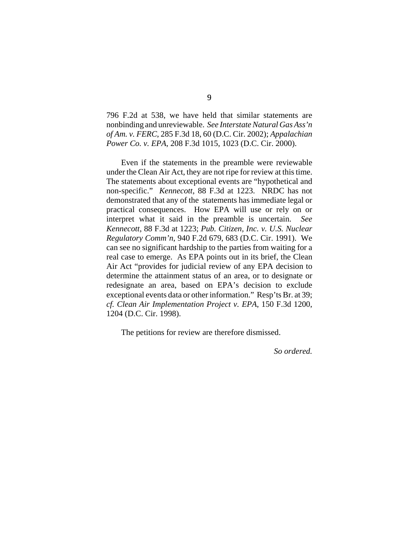796 F.2d at 538, we have held that similar statements are nonbinding and unreviewable. *See Interstate Natural Gas Ass'n of Am. v. FERC*, 285 F.3d 18, 60 (D.C. Cir. 2002); *Appalachian Power Co. v. EPA*, 208 F.3d 1015, 1023 (D.C. Cir. 2000).

Even if the statements in the preamble were reviewable under the Clean Air Act, they are not ripe for review at this time. The statements about exceptional events are "hypothetical and non-specific." *Kennecott*, 88 F.3d at 1223. NRDC has not demonstrated that any of the statements has immediate legal or practical consequences. How EPA will use or rely on or interpret what it said in the preamble is uncertain. *See Kennecott*, 88 F.3d at 1223; *Pub. Citizen, Inc. v. U.S. Nuclear Regulatory Comm'n*, 940 F.2d 679, 683 (D.C. Cir. 1991). We can see no significant hardship to the parties from waiting for a real case to emerge. As EPA points out in its brief, the Clean Air Act "provides for judicial review of any EPA decision to determine the attainment status of an area, or to designate or redesignate an area, based on EPA's decision to exclude exceptional events data or other information." Resp'ts Br. at 39; *cf. Clean Air Implementation Project v. EPA*, 150 F.3d 1200, 1204 (D.C. Cir. 1998).

The petitions for review are therefore dismissed.

*So ordered.*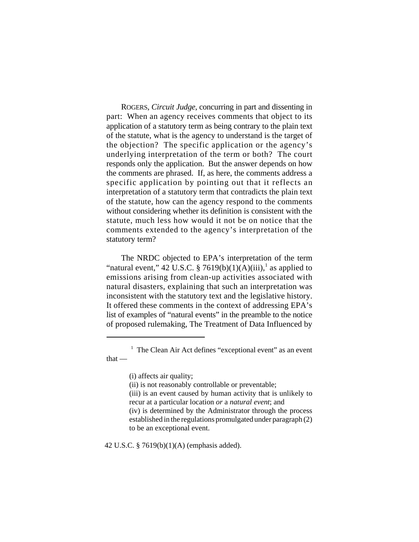ROGERS, *Circuit Judge*, concurring in part and dissenting in part: When an agency receives comments that object to its application of a statutory term as being contrary to the plain text of the statute, what is the agency to understand is the target of the objection? The specific application or the agency's underlying interpretation of the term or both? The court responds only the application. But the answer depends on how the comments are phrased. If, as here, the comments address a specific application by pointing out that it reflects an interpretation of a statutory term that contradicts the plain text of the statute, how can the agency respond to the comments without considering whether its definition is consistent with the statute, much less how would it not be on notice that the comments extended to the agency's interpretation of the statutory term?

The NRDC objected to EPA's interpretation of the term "natural event," 42 U.S.C. § 7619(b)(1)(A)(iii),<sup>1</sup> as applied to emissions arising from clean-up activities associated with natural disasters, explaining that such an interpretation was inconsistent with the statutory text and the legislative history. It offered these comments in the context of addressing EPA's list of examples of "natural events" in the preamble to the notice of proposed rulemaking, The Treatment of Data Influenced by

- (i) affects air quality;
- (ii) is not reasonably controllable or preventable;
- (iii) is an event caused by human activity that is unlikely to recur at a particular location *or* a *natural event*; and
- (iv) is determined by the Administrator through the process established in the regulations promulgated under paragraph (2) to be an exceptional event.

42 U.S.C. § 7619(b)(1)(A) (emphasis added).

<sup>&</sup>lt;sup>1</sup> The Clean Air Act defines "exceptional event" as an event that —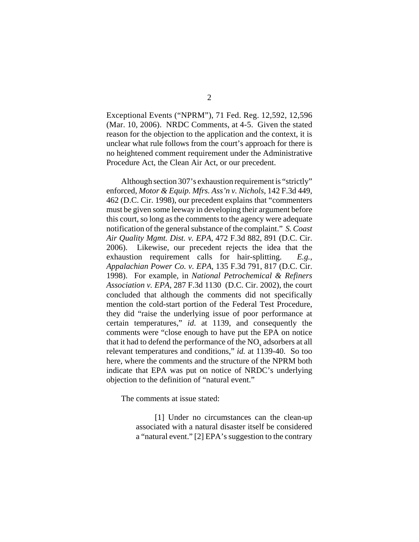Exceptional Events ("NPRM"), 71 Fed. Reg. 12,592, 12,596 (Mar. 10, 2006). NRDC Comments, at 4-5. Given the stated reason for the objection to the application and the context, it is unclear what rule follows from the court's approach for there is no heightened comment requirement under the Administrative Procedure Act, the Clean Air Act, or our precedent.

Although section 307's exhaustion requirement is "strictly" enforced, *Motor & Equip. Mfrs. Ass'n v. Nichols*, 142 F.3d 449, 462 (D.C. Cir. 1998), our precedent explains that "commenters must be given some leeway in developing their argument before this court, so long as the comments to the agency were adequate notification of the general substance of the complaint." *S. Coast Air Quality Mgmt. Dist. v. EPA*, 472 F.3d 882, 891 (D.C. Cir. 2006). Likewise, our precedent rejects the idea that the exhaustion requirement calls for hair-splitting. *E.g.*, *Appalachian Power Co. v. EPA*, 135 F.3d 791, 817 (D.C. Cir. 1998). For example, in *National Petrochemical & Refiners Association v. EPA*, 287 F.3d 1130 (D.C. Cir. 2002), the court concluded that although the comments did not specifically mention the cold-start portion of the Federal Test Procedure, they did "raise the underlying issue of poor performance at certain temperatures," *id*. at 1139, and consequently the comments were "close enough to have put the EPA on notice that it had to defend the performance of the NO<sub>x</sub> adsorbers at all relevant temperatures and conditions," *id.* at 1139-40. So too here, where the comments and the structure of the NPRM both indicate that EPA was put on notice of NRDC's underlying objection to the definition of "natural event."

The comments at issue stated:

 [1] Under no circumstances can the clean-up associated with a natural disaster itself be considered a "natural event." [2] EPA's suggestion to the contrary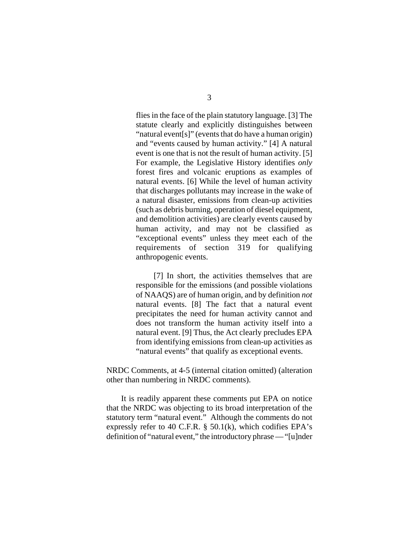flies in the face of the plain statutory language. [3] The statute clearly and explicitly distinguishes between "natural event[s]" (events that do have a human origin) and "events caused by human activity." [4] A natural event is one that is not the result of human activity. [5] For example, the Legislative History identifies *only* forest fires and volcanic eruptions as examples of natural events. [6] While the level of human activity that discharges pollutants may increase in the wake of a natural disaster, emissions from clean-up activities (such as debris burning, operation of diesel equipment, and demolition activities) are clearly events caused by human activity, and may not be classified as "exceptional events" unless they meet each of the requirements of section 319 for qualifying anthropogenic events.

 [7] In short, the activities themselves that are responsible for the emissions (and possible violations of NAAQS) are of human origin, and by definition *not* natural events. [8] The fact that a natural event precipitates the need for human activity cannot and does not transform the human activity itself into a natural event. [9] Thus, the Act clearly precludes EPA from identifying emissions from clean-up activities as "natural events" that qualify as exceptional events.

NRDC Comments, at 4-5 (internal citation omitted) (alteration other than numbering in NRDC comments).

It is readily apparent these comments put EPA on notice that the NRDC was objecting to its broad interpretation of the statutory term "natural event." Although the comments do not expressly refer to 40 C.F.R.  $\S$  50.1(k), which codifies EPA's definition of "natural event," the introductory phrase — "[u]nder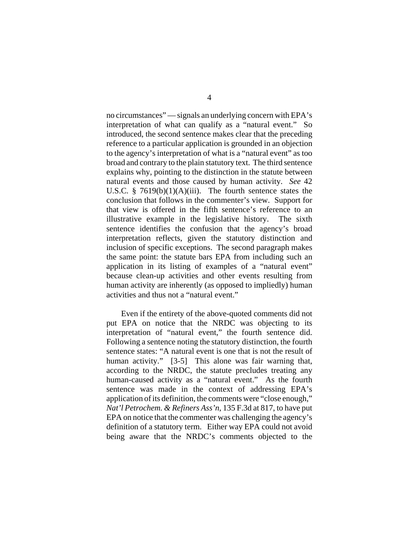no circumstances" — signals an underlying concern with EPA's interpretation of what can qualify as a "natural event." So introduced, the second sentence makes clear that the preceding reference to a particular application is grounded in an objection to the agency's interpretation of what is a "natural event" as too broad and contrary to the plain statutory text. The third sentence explains why, pointing to the distinction in the statute between natural events and those caused by human activity. *See* 42 U.S.C. §  $7619(b)(1)(A)(iii)$ . The fourth sentence states the conclusion that follows in the commenter's view. Support for that view is offered in the fifth sentence's reference to an illustrative example in the legislative history. The sixth sentence identifies the confusion that the agency's broad interpretation reflects, given the statutory distinction and inclusion of specific exceptions. The second paragraph makes the same point: the statute bars EPA from including such an application in its listing of examples of a "natural event" because clean-up activities and other events resulting from human activity are inherently (as opposed to impliedly) human activities and thus not a "natural event."

Even if the entirety of the above-quoted comments did not put EPA on notice that the NRDC was objecting to its interpretation of "natural event," the fourth sentence did. Following a sentence noting the statutory distinction, the fourth sentence states: "A natural event is one that is not the result of human activity." [3-5] This alone was fair warning that, according to the NRDC, the statute precludes treating any human-caused activity as a "natural event." As the fourth sentence was made in the context of addressing EPA's application of its definition, the comments were "close enough," *Nat'l Petrochem. & Refiners Ass'n*, 135 F.3d at 817, to have put EPA on notice that the commenter was challenging the agency's definition of a statutory term. Either way EPA could not avoid being aware that the NRDC's comments objected to the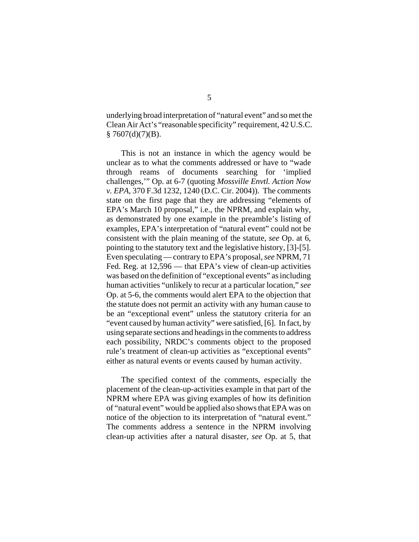underlying broad interpretation of "natural event" and so met the Clean Air Act's "reasonable specificity" requirement, 42 U.S.C.  $§ 7607(d)(7)(B).$ 

This is not an instance in which the agency would be unclear as to what the comments addressed or have to "wade through reams of documents searching for 'implied challenges,'" Op. at 6-7 (quoting *Mossville Envtl. Action Now v. EPA*, 370 F.3d 1232, 1240 (D.C. Cir. 2004)). The comments state on the first page that they are addressing "elements of EPA's March 10 proposal," i.e., the NPRM, and explain why, as demonstrated by one example in the preamble's listing of examples, EPA's interpretation of "natural event" could not be consistent with the plain meaning of the statute, *see* Op. at 6, pointing to the statutory text and the legislative history, [3]-[5]. Even speculating — contrary to EPA's proposal, *see* NPRM, 71 Fed. Reg. at 12,596 — that EPA's view of clean-up activities was based on the definition of "exceptional events" as including human activities "unlikely to recur at a particular location," *see* Op. at 5-6, the comments would alert EPA to the objection that the statute does not permit an activity with any human cause to be an "exceptional event" unless the statutory criteria for an "event caused by human activity" were satisfied, [6]. In fact, by using separate sections and headings in the comments to address each possibility, NRDC's comments object to the proposed rule's treatment of clean-up activities as "exceptional events" either as natural events or events caused by human activity.

The specified context of the comments, especially the placement of the clean-up-activities example in that part of the NPRM where EPA was giving examples of how its definition of "natural event" would be applied also shows that EPA was on notice of the objection to its interpretation of "natural event." The comments address a sentence in the NPRM involving clean-up activities after a natural disaster, *see* Op. at 5, that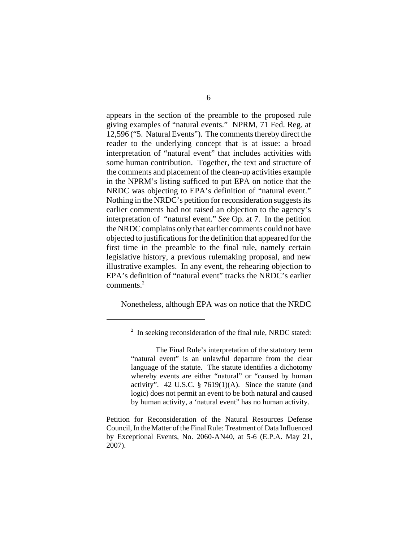appears in the section of the preamble to the proposed rule giving examples of "natural events." NPRM, 71 Fed. Reg. at 12,596 ("5. Natural Events"). The comments thereby direct the reader to the underlying concept that is at issue: a broad interpretation of "natural event" that includes activities with some human contribution. Together, the text and structure of the comments and placement of the clean-up activities example in the NPRM's listing sufficed to put EPA on notice that the NRDC was objecting to EPA's definition of "natural event." Nothing in the NRDC's petition for reconsideration suggests its earlier comments had not raised an objection to the agency's interpretation of "natural event." *See* Op. at 7. In the petition the NRDC complains only that earlier comments could not have objected to justifications for the definition that appeared for the first time in the preamble to the final rule, namely certain legislative history, a previous rulemaking proposal, and new illustrative examples. In any event, the rehearing objection to EPA's definition of "natural event" tracks the NRDC's earlier comments.<sup>2</sup>

Nonetheless, although EPA was on notice that the NRDC

 $2\;\;$  In seeking reconsideration of the final rule, NRDC stated:

The Final Rule's interpretation of the statutory term "natural event" is an unlawful departure from the clear language of the statute. The statute identifies a dichotomy whereby events are either "natural" or "caused by human activity". 42 U.S.C.  $\S$  7619(1)(A). Since the statute (and logic) does not permit an event to be both natural and caused by human activity, a 'natural event" has no human activity.

Petition for Reconsideration of the Natural Resources Defense Council, In the Matter of the Final Rule: Treatment of Data Influenced by Exceptional Events, No. 2060-AN40, at 5-6 (E.P.A. May 21, 2007).